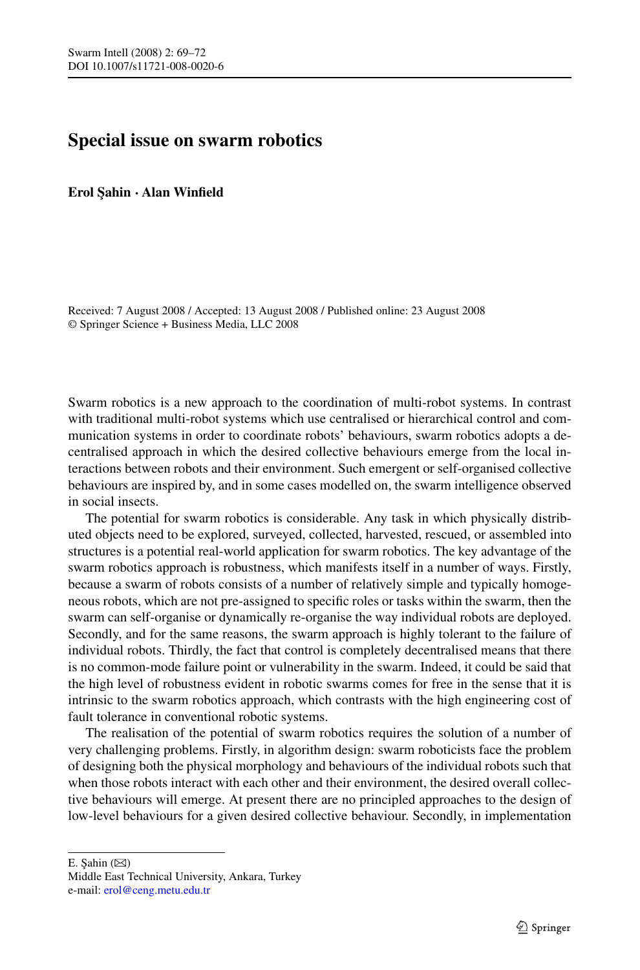# **Special issue on swarm robotics**

**Erol ¸Sahin · Alan Winfield**

Received: 7 August 2008 / Accepted: 13 August 2008 / Published online: 23 August 2008 © Springer Science + Business Media, LLC 2008

Swarm robotics is a new approach to the coordination of multi-robot systems. In contrast with traditional multi-robot systems which use centralised or hierarchical control and communication systems in order to coordinate robots' behaviours, swarm robotics adopts a decentralised approach in which the desired collective behaviours emerge from the local interactions between robots and their environment. Such emergent or self-organised collective behaviours are inspired by, and in some cases modelled on, the swarm intelligence observed in social insects.

The potential for swarm robotics is considerable. Any task in which physically distributed objects need to be explored, surveyed, collected, harvested, rescued, or assembled into structures is a potential real-world application for swarm robotics. The key advantage of the swarm robotics approach is robustness, which manifests itself in a number of ways. Firstly, because a swarm of robots consists of a number of relatively simple and typically homogeneous robots, which are not pre-assigned to specific roles or tasks within the swarm, then the swarm can self-organise or dynamically re-organise the way individual robots are deployed. Secondly, and for the same reasons, the swarm approach is highly tolerant to the failure of individual robots. Thirdly, the fact that control is completely decentralised means that there is no common-mode failure point or vulnerability in the swarm. Indeed, it could be said that the high level of robustness evident in robotic swarms comes for free in the sense that it is intrinsic to the swarm robotics approach, which contrasts with the high engineering cost of fault tolerance in conventional robotic systems.

The realisation of the potential of swarm robotics requires the solution of a number of very challenging problems. Firstly, in algorithm design: swarm roboticists face the problem of designing both the physical morphology and behaviours of the individual robots such that when those robots interact with each other and their environment, the desired overall collective behaviours will emerge. At present there are no principled approaches to the design of low-level behaviours for a given desired collective behaviour. Secondly, in implementation

E. Şahin  $(\boxtimes)$ 

Middle East Technical University, Ankara, Turkey e-mail: [erol@ceng.metu.edu.tr](mailto:erol@ceng.metu.edu.tr)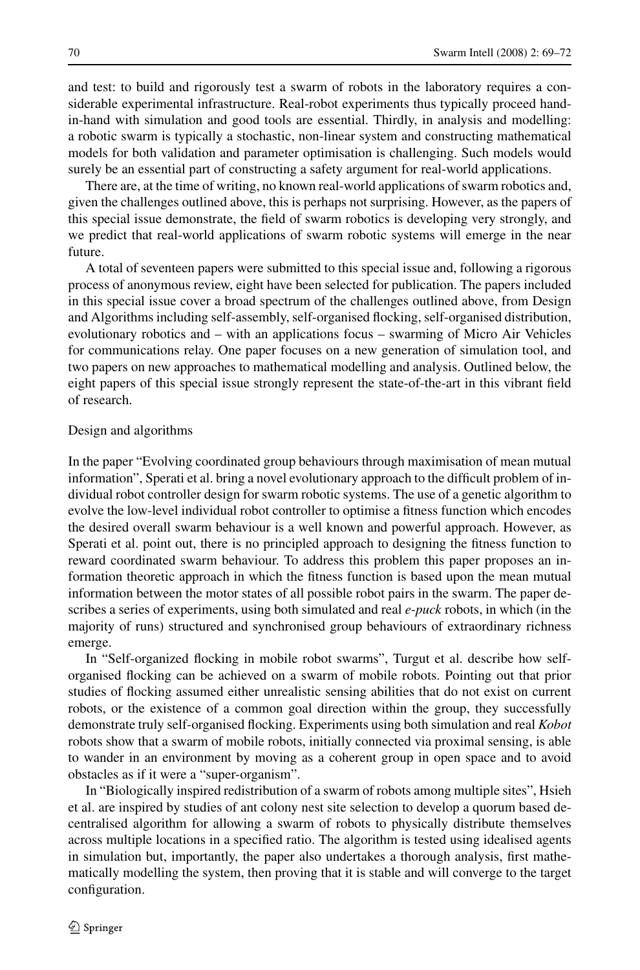and test: to build and rigorously test a swarm of robots in the laboratory requires a considerable experimental infrastructure. Real-robot experiments thus typically proceed handin-hand with simulation and good tools are essential. Thirdly, in analysis and modelling: a robotic swarm is typically a stochastic, non-linear system and constructing mathematical models for both validation and parameter optimisation is challenging. Such models would surely be an essential part of constructing a safety argument for real-world applications.

There are, at the time of writing, no known real-world applications of swarm robotics and, given the challenges outlined above, this is perhaps not surprising. However, as the papers of this special issue demonstrate, the field of swarm robotics is developing very strongly, and we predict that real-world applications of swarm robotic systems will emerge in the near future.

A total of seventeen papers were submitted to this special issue and, following a rigorous process of anonymous review, eight have been selected for publication. The papers included in this special issue cover a broad spectrum of the challenges outlined above, from Design and Algorithms including self-assembly, self-organised flocking, self-organised distribution, evolutionary robotics and – with an applications focus – swarming of Micro Air Vehicles for communications relay. One paper focuses on a new generation of simulation tool, and two papers on new approaches to mathematical modelling and analysis. Outlined below, the eight papers of this special issue strongly represent the state-of-the-art in this vibrant field of research.

### Design and algorithms

In the paper "Evolving coordinated group behaviours through maximisation of mean mutual information", Sperati et al. bring a novel evolutionary approach to the difficult problem of individual robot controller design for swarm robotic systems. The use of a genetic algorithm to evolve the low-level individual robot controller to optimise a fitness function which encodes the desired overall swarm behaviour is a well known and powerful approach. However, as Sperati et al. point out, there is no principled approach to designing the fitness function to reward coordinated swarm behaviour. To address this problem this paper proposes an information theoretic approach in which the fitness function is based upon the mean mutual information between the motor states of all possible robot pairs in the swarm. The paper describes a series of experiments, using both simulated and real *e-puck* robots, in which (in the majority of runs) structured and synchronised group behaviours of extraordinary richness emerge.

In "Self-organized flocking in mobile robot swarms", Turgut et al. describe how selforganised flocking can be achieved on a swarm of mobile robots. Pointing out that prior studies of flocking assumed either unrealistic sensing abilities that do not exist on current robots, or the existence of a common goal direction within the group, they successfully demonstrate truly self-organised flocking. Experiments using both simulation and real *Kobot* robots show that a swarm of mobile robots, initially connected via proximal sensing, is able to wander in an environment by moving as a coherent group in open space and to avoid obstacles as if it were a "super-organism".

In "Biologically inspired redistribution of a swarm of robots among multiple sites", Hsieh et al. are inspired by studies of ant colony nest site selection to develop a quorum based decentralised algorithm for allowing a swarm of robots to physically distribute themselves across multiple locations in a specified ratio. The algorithm is tested using idealised agents in simulation but, importantly, the paper also undertakes a thorough analysis, first mathematically modelling the system, then proving that it is stable and will converge to the target configuration.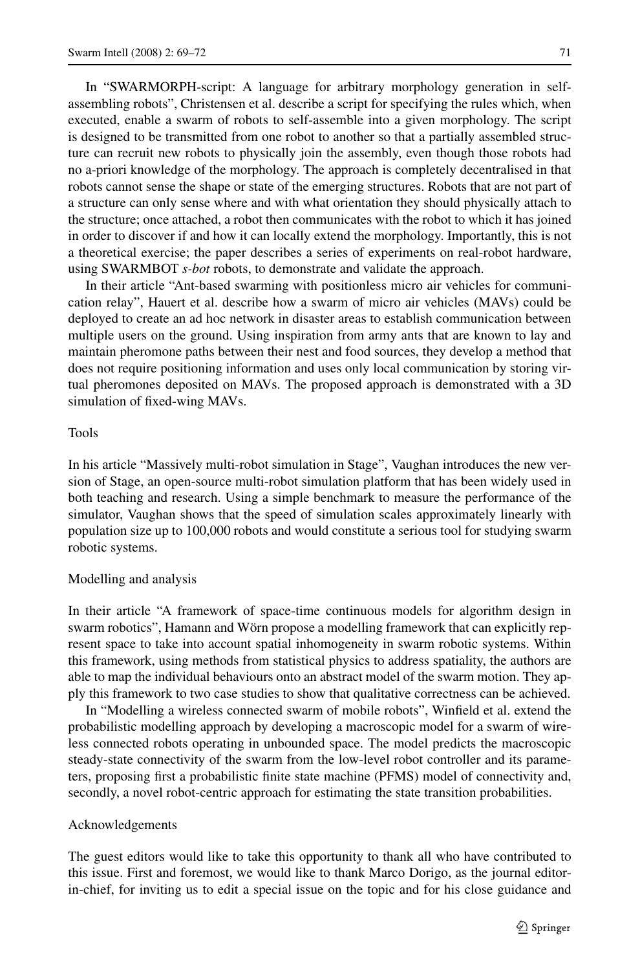In "SWARMORPH-script: A language for arbitrary morphology generation in selfassembling robots", Christensen et al. describe a script for specifying the rules which, when executed, enable a swarm of robots to self-assemble into a given morphology. The script is designed to be transmitted from one robot to another so that a partially assembled structure can recruit new robots to physically join the assembly, even though those robots had no a-priori knowledge of the morphology. The approach is completely decentralised in that robots cannot sense the shape or state of the emerging structures. Robots that are not part of a structure can only sense where and with what orientation they should physically attach to the structure; once attached, a robot then communicates with the robot to which it has joined in order to discover if and how it can locally extend the morphology. Importantly, this is not a theoretical exercise; the paper describes a series of experiments on real-robot hardware, using SWARMBOT *s-bot* robots, to demonstrate and validate the approach.

In their article "Ant-based swarming with positionless micro air vehicles for communication relay", Hauert et al. describe how a swarm of micro air vehicles (MAVs) could be deployed to create an ad hoc network in disaster areas to establish communication between multiple users on the ground. Using inspiration from army ants that are known to lay and maintain pheromone paths between their nest and food sources, they develop a method that does not require positioning information and uses only local communication by storing virtual pheromones deposited on MAVs. The proposed approach is demonstrated with a 3D simulation of fixed-wing MAVs.

## Tools

In his article "Massively multi-robot simulation in Stage", Vaughan introduces the new version of Stage, an open-source multi-robot simulation platform that has been widely used in both teaching and research. Using a simple benchmark to measure the performance of the simulator, Vaughan shows that the speed of simulation scales approximately linearly with population size up to 100,000 robots and would constitute a serious tool for studying swarm robotic systems.

### Modelling and analysis

In their article "A framework of space-time continuous models for algorithm design in swarm robotics", Hamann and Wörn propose a modelling framework that can explicitly represent space to take into account spatial inhomogeneity in swarm robotic systems. Within this framework, using methods from statistical physics to address spatiality, the authors are able to map the individual behaviours onto an abstract model of the swarm motion. They apply this framework to two case studies to show that qualitative correctness can be achieved.

In "Modelling a wireless connected swarm of mobile robots", Winfield et al. extend the probabilistic modelling approach by developing a macroscopic model for a swarm of wireless connected robots operating in unbounded space. The model predicts the macroscopic steady-state connectivity of the swarm from the low-level robot controller and its parameters, proposing first a probabilistic finite state machine (PFMS) model of connectivity and, secondly, a novel robot-centric approach for estimating the state transition probabilities.

# Acknowledgements

The guest editors would like to take this opportunity to thank all who have contributed to this issue. First and foremost, we would like to thank Marco Dorigo, as the journal editorin-chief, for inviting us to edit a special issue on the topic and for his close guidance and